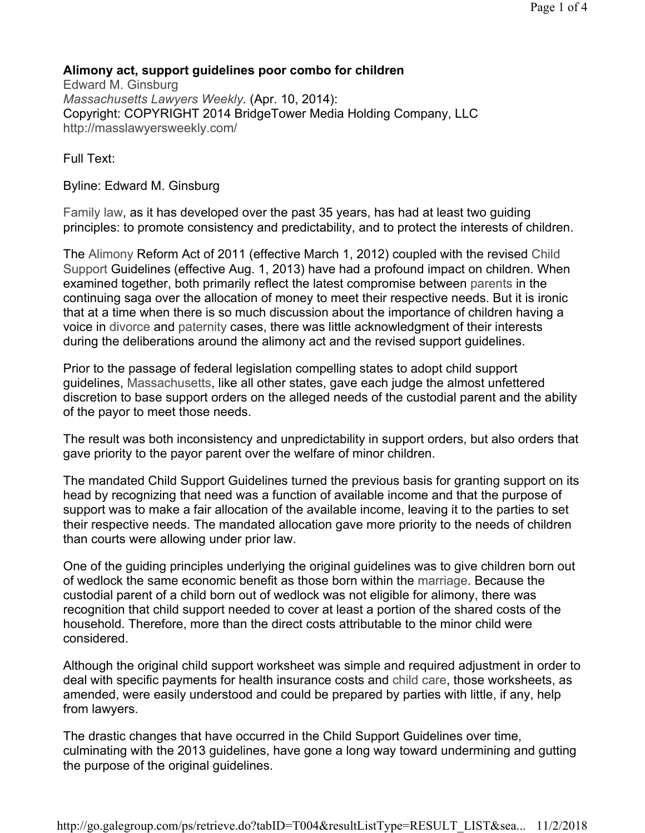## Alimony act, support guidelines poor combo for children

Edward M. Ginsburg Massachusetts Lawyers Weekly. (Apr. 10, 2014): Copyright: COPYRIGHT 2014 BridgeTower Media Holding Company, LLC http://masslawyersweekly.com/

Full Text:

Byline: Edward M. Ginsburg

Family law, as it has developed over the past 35 years, has had at least two guiding principles: to promote consistency and predictability, and to protect the interests of children.

The Alimony Reform Act of 2011 (effective March 1, 2012) coupled with the revised Child Support Guidelines (effective Aug. 1, 2013) have had a profound impact on children. When examined together, both primarily reflect the latest compromise between parents in the continuing saga over the allocation of money to meet their respective needs. But it is ironic that at a time when there is so much discussion about the importance of children having a voice in divorce and paternity cases, there was little acknowledgment of their interests during the deliberations around the alimony act and the revised support guidelines.

Prior to the passage of federal legislation compelling states to adopt child support guidelines, Massachusetts, like all other states, gave each judge the almost unfettered discretion to base support orders on the alleged needs of the custodial parent and the ability of the payor to meet those needs.

The result was both inconsistency and unpredictability in support orders, but also orders that gave priority to the payor parent over the welfare of minor children.

The mandated Child Support Guidelines turned the previous basis for granting support on its head by recognizing that need was a function of available income and that the purpose of support was to make a fair allocation of the available income, leaving it to the parties to set their respective needs. The mandated allocation gave more priority to the needs of children than courts were allowing under prior law.

One of the guiding principles underlying the original guidelines was to give children born out of wedlock the same economic benefit as those born within the marriage. Because the custodial parent of a child born out of wedlock was not eligible for alimony, there was recognition that child support needed to cover at least a portion of the shared costs of the household. Therefore, more than the direct costs attributable to the minor child were considered.

Although the original child support worksheet was simple and required adjustment in order to deal with specific payments for health insurance costs and child care, those worksheets, as amended, were easily understood and could be prepared by parties with little, if any, help from lawyers.

The drastic changes that have occurred in the Child Support Guidelines over time, culminating with the 2013 guidelines, have gone a long way toward undermining and gutting the purpose of the original guidelines.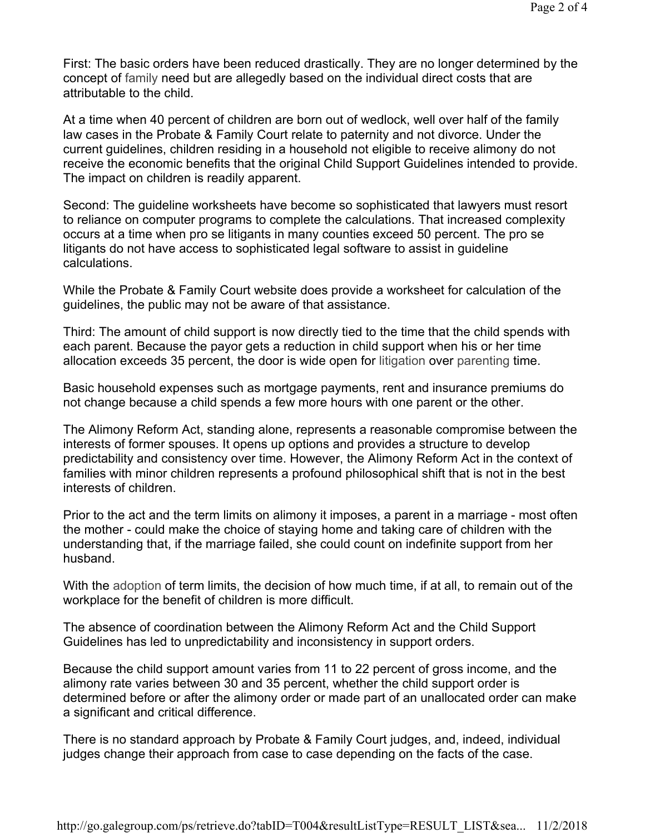First: The basic orders have been reduced drastically. They are no longer determined by the concept of family need but are allegedly based on the individual direct costs that are attributable to the child.

At a time when 40 percent of children are born out of wedlock, well over half of the family law cases in the Probate & Family Court relate to paternity and not divorce. Under the current guidelines, children residing in a household not eligible to receive alimony do not receive the economic benefits that the original Child Support Guidelines intended to provide. The impact on children is readily apparent.

Second: The guideline worksheets have become so sophisticated that lawyers must resort to reliance on computer programs to complete the calculations. That increased complexity occurs at a time when pro se litigants in many counties exceed 50 percent. The pro se litigants do not have access to sophisticated legal software to assist in guideline calculations.

While the Probate & Family Court website does provide a worksheet for calculation of the guidelines, the public may not be aware of that assistance.

Third: The amount of child support is now directly tied to the time that the child spends with each parent. Because the payor gets a reduction in child support when his or her time allocation exceeds 35 percent, the door is wide open for litigation over parenting time.

Basic household expenses such as mortgage payments, rent and insurance premiums do not change because a child spends a few more hours with one parent or the other.

The Alimony Reform Act, standing alone, represents a reasonable compromise between the interests of former spouses. It opens up options and provides a structure to develop predictability and consistency over time. However, the Alimony Reform Act in the context of families with minor children represents a profound philosophical shift that is not in the best interests of children.

Prior to the act and the term limits on alimony it imposes, a parent in a marriage - most often the mother - could make the choice of staying home and taking care of children with the understanding that, if the marriage failed, she could count on indefinite support from her husband.

With the adoption of term limits, the decision of how much time, if at all, to remain out of the workplace for the benefit of children is more difficult.

The absence of coordination between the Alimony Reform Act and the Child Support Guidelines has led to unpredictability and inconsistency in support orders.

Because the child support amount varies from 11 to 22 percent of gross income, and the alimony rate varies between 30 and 35 percent, whether the child support order is determined before or after the alimony order or made part of an unallocated order can make a significant and critical difference.

There is no standard approach by Probate & Family Court judges, and, indeed, individual judges change their approach from case to case depending on the facts of the case.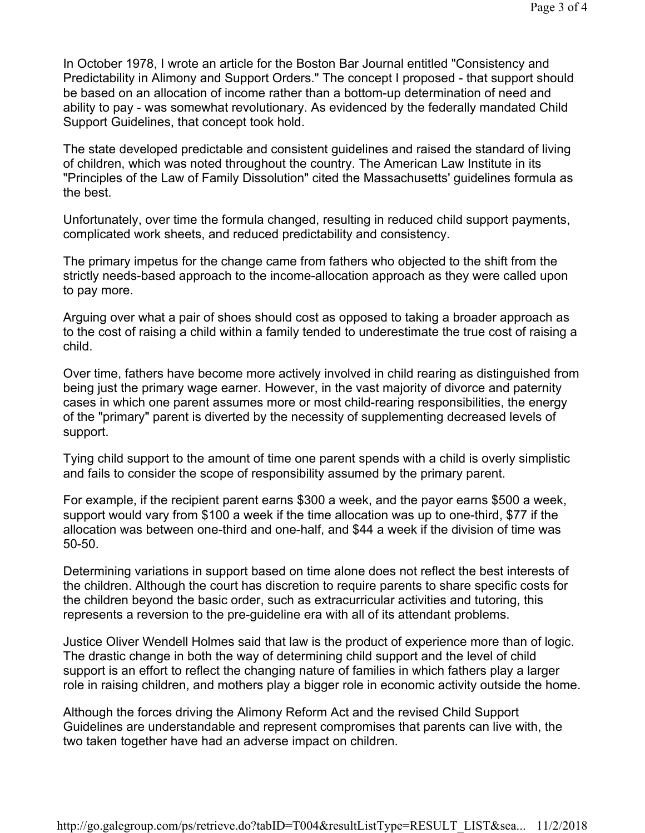In October 1978, I wrote an article for the Boston Bar Journal entitled "Consistency and Predictability in Alimony and Support Orders." The concept I proposed - that support should be based on an allocation of income rather than a bottom-up determination of need and ability to pay - was somewhat revolutionary. As evidenced by the federally mandated Child Support Guidelines, that concept took hold.

The state developed predictable and consistent guidelines and raised the standard of living of children, which was noted throughout the country. The American Law Institute in its "Principles of the Law of Family Dissolution" cited the Massachusetts' guidelines formula as the best.

Unfortunately, over time the formula changed, resulting in reduced child support payments, complicated work sheets, and reduced predictability and consistency.

The primary impetus for the change came from fathers who objected to the shift from the strictly needs-based approach to the income-allocation approach as they were called upon to pay more.

Arguing over what a pair of shoes should cost as opposed to taking a broader approach as to the cost of raising a child within a family tended to underestimate the true cost of raising a child.

Over time, fathers have become more actively involved in child rearing as distinguished from being just the primary wage earner. However, in the vast majority of divorce and paternity cases in which one parent assumes more or most child-rearing responsibilities, the energy of the "primary" parent is diverted by the necessity of supplementing decreased levels of support.

Tying child support to the amount of time one parent spends with a child is overly simplistic and fails to consider the scope of responsibility assumed by the primary parent.

For example, if the recipient parent earns \$300 a week, and the payor earns \$500 a week, support would vary from \$100 a week if the time allocation was up to one-third, \$77 if the allocation was between one-third and one-half, and \$44 a week if the division of time was 50-50.

Determining variations in support based on time alone does not reflect the best interests of the children. Although the court has discretion to require parents to share specific costs for the children beyond the basic order, such as extracurricular activities and tutoring, this represents a reversion to the pre-guideline era with all of its attendant problems.

Justice Oliver Wendell Holmes said that law is the product of experience more than of logic. The drastic change in both the way of determining child support and the level of child support is an effort to reflect the changing nature of families in which fathers play a larger role in raising children, and mothers play a bigger role in economic activity outside the home.

Although the forces driving the Alimony Reform Act and the revised Child Support Guidelines are understandable and represent compromises that parents can live with, the two taken together have had an adverse impact on children.